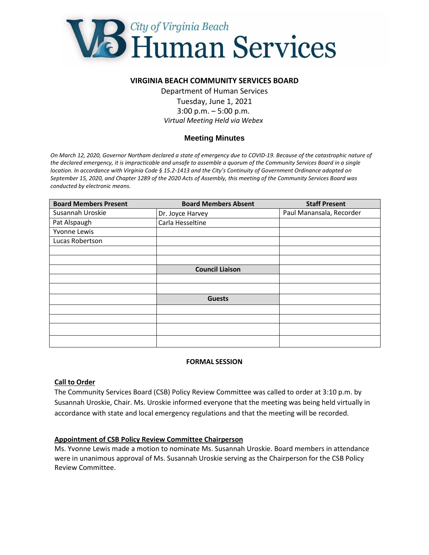

### **VIRGINIA BEACH COMMUNITY SERVICES BOARD**

Department of Human Services Tuesday, June 1, 2021 3:00 p.m. – 5:00 p.m. *Virtual Meeting Held via Webex*

# **Meeting Minutes**

*On March 12, 2020, Governor Northam declared a state of emergency due to COVID-19. Because of the catastrophic nature of the declared emergency, it is impracticable and unsafe to assemble a quorum of the Community Services Board in a single location. In accordance with Virginia Code § 15.2-1413 and the City's Continuity of Government Ordinance adopted on September 15, 2020, and Chapter 1289 of the 2020 Acts of Assembly, this meeting of the Community Services Board was conducted by electronic means.*

| <b>Board Members Present</b> | <b>Board Members Absent</b> | <b>Staff Present</b>     |
|------------------------------|-----------------------------|--------------------------|
| Susannah Uroskie             | Dr. Joyce Harvey            | Paul Manansala, Recorder |
| Pat Alspaugh                 | Carla Hesseltine            |                          |
| Yvonne Lewis                 |                             |                          |
| Lucas Robertson              |                             |                          |
|                              |                             |                          |
|                              |                             |                          |
|                              | <b>Council Liaison</b>      |                          |
|                              |                             |                          |
|                              |                             |                          |
|                              | <b>Guests</b>               |                          |
|                              |                             |                          |
|                              |                             |                          |
|                              |                             |                          |
|                              |                             |                          |

#### **FORMAL SESSION**

#### **Call to Order**

The Community Services Board (CSB) Policy Review Committee was called to order at 3:10 p.m. by Susannah Uroskie, Chair. Ms. Uroskie informed everyone that the meeting was being held virtually in accordance with state and local emergency regulations and that the meeting will be recorded.

#### **Appointment of CSB Policy Review Committee Chairperson**

Ms. Yvonne Lewis made a motion to nominate Ms. Susannah Uroskie. Board members in attendance were in unanimous approval of Ms. Susannah Uroskie serving as the Chairperson for the CSB Policy Review Committee.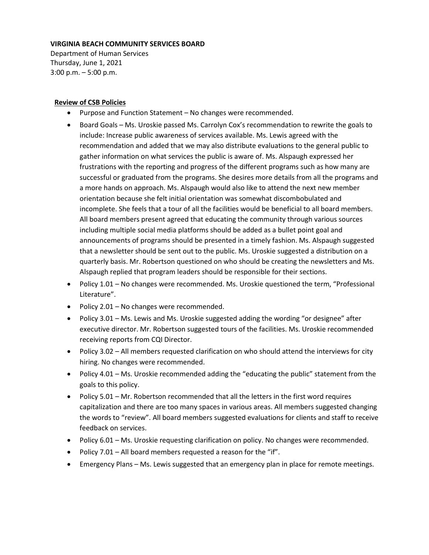#### **VIRGINIA BEACH COMMUNITY SERVICES BOARD**

Department of Human Services Thursday, June 1, 2021 3:00 p.m. – 5:00 p.m.

#### **Review of CSB Policies**

- Purpose and Function Statement No changes were recommended.
- Board Goals Ms. Uroskie passed Ms. Carrolyn Cox's recommendation to rewrite the goals to include: Increase public awareness of services available. Ms. Lewis agreed with the recommendation and added that we may also distribute evaluations to the general public to gather information on what services the public is aware of. Ms. Alspaugh expressed her frustrations with the reporting and progress of the different programs such as how many are successful or graduated from the programs. She desires more details from all the programs and a more hands on approach. Ms. Alspaugh would also like to attend the next new member orientation because she felt initial orientation was somewhat discombobulated and incomplete. She feels that a tour of all the facilities would be beneficial to all board members. All board members present agreed that educating the community through various sources including multiple social media platforms should be added as a bullet point goal and announcements of programs should be presented in a timely fashion. Ms. Alspaugh suggested that a newsletter should be sent out to the public. Ms. Uroskie suggested a distribution on a quarterly basis. Mr. Robertson questioned on who should be creating the newsletters and Ms. Alspaugh replied that program leaders should be responsible for their sections.
- Policy 1.01 No changes were recommended. Ms. Uroskie questioned the term, "Professional Literature".
- Policy 2.01 No changes were recommended.
- Policy 3.01 Ms. Lewis and Ms. Uroskie suggested adding the wording "or designee" after executive director. Mr. Robertson suggested tours of the facilities. Ms. Uroskie recommended receiving reports from CQI Director.
- Policy 3.02 All members requested clarification on who should attend the interviews for city hiring. No changes were recommended.
- Policy 4.01 Ms. Uroskie recommended adding the "educating the public" statement from the goals to this policy.
- Policy 5.01 Mr. Robertson recommended that all the letters in the first word requires capitalization and there are too many spaces in various areas. All members suggested changing the words to "review". All board members suggested evaluations for clients and staff to receive feedback on services.
- Policy 6.01 Ms. Uroskie requesting clarification on policy. No changes were recommended.
- Policy 7.01 All board members requested a reason for the "if".
- Emergency Plans Ms. Lewis suggested that an emergency plan in place for remote meetings.